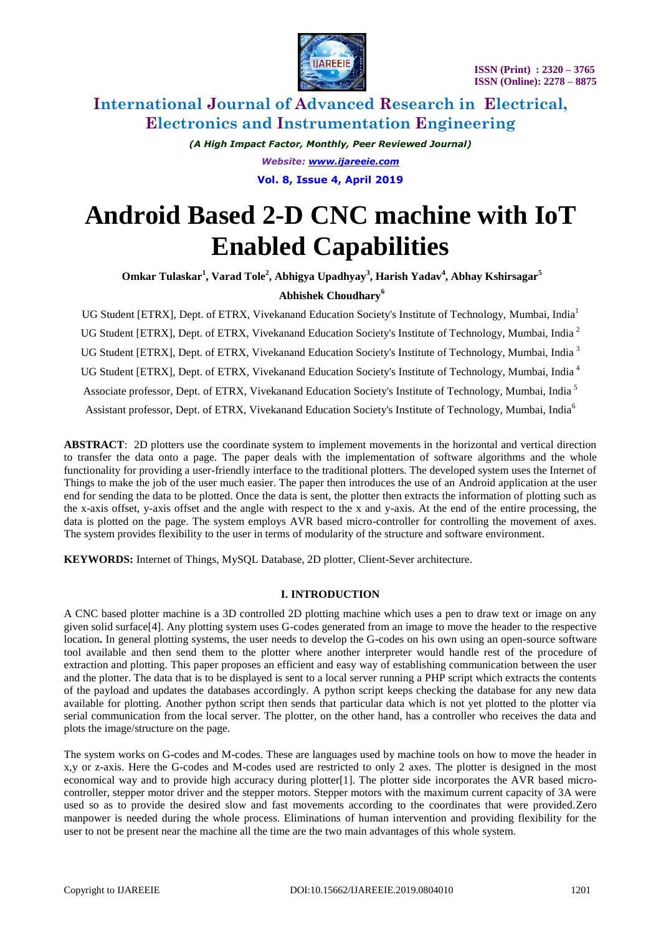

> *(A High Impact Factor, Monthly, Peer Reviewed Journal) Website: [www.ijareeie.com](http://www.ijareeie.com/)* **Vol. 8, Issue 4, April 2019**

# **Android Based 2-D CNC machine with IoT Enabled Capabilities**

**Omkar Tulaskar<sup>1</sup> , Varad Tole<sup>2</sup> , Abhigya Upadhyay<sup>3</sup> , Harish Yadav<sup>4</sup> , Abhay Kshirsagar<sup>5</sup>**

## **Abhishek Choudhary<sup>6</sup>**

UG Student [ETRX], Dept. of ETRX, Vivekanand Education Society's Institute of Technology, Mumbai, India<sup>1</sup> UG Student [ETRX], Dept. of ETRX, Vivekanand Education Society's Institute of Technology, Mumbai, India<sup>2</sup> UG Student [ETRX], Dept. of ETRX, Vivekanand Education Society's Institute of Technology, Mumbai, India<sup>3</sup> UG Student [ETRX], Dept. of ETRX, Vivekanand Education Society's Institute of Technology, Mumbai, India <sup>4</sup> Associate professor, Dept. of ETRX, Vivekanand Education Society's Institute of Technology, Mumbai, India <sup>5</sup> Assistant professor, Dept. of ETRX, Vivekanand Education Society's Institute of Technology, Mumbai, India<sup>6</sup>

**ABSTRACT**: 2D plotters use the coordinate system to implement movements in the horizontal and vertical direction to transfer the data onto a page. The paper deals with the implementation of software algorithms and the whole functionality for providing a user-friendly interface to the traditional plotters. The developed system uses the Internet of Things to make the job of the user much easier. The paper then introduces the use of an Android application at the user end for sending the data to be plotted. Once the data is sent, the plotter then extracts the information of plotting such as the x-axis offset, y-axis offset and the angle with respect to the x and y-axis. At the end of the entire processing, the data is plotted on the page. The system employs AVR based micro-controller for controlling the movement of axes. The system provides flexibility to the user in terms of modularity of the structure and software environment.

**KEYWORDS:** Internet of Things, MySQL Database, 2D plotter, Client-Sever architecture.

## **I. INTRODUCTION**

A CNC based plotter machine is a 3D controlled 2D plotting machine which uses a pen to draw text or image on any given solid surface[4]. Any plotting system uses G-codes generated from an image to move the header to the respective location**.** In general plotting systems, the user needs to develop the G-codes on his own using an open-source software tool available and then send them to the plotter where another interpreter would handle rest of the procedure of extraction and plotting. This paper proposes an efficient and easy way of establishing communication between the user and the plotter. The data that is to be displayed is sent to a local server running a PHP script which extracts the contents of the payload and updates the databases accordingly. A python script keeps checking the database for any new data available for plotting. Another python script then sends that particular data which is not yet plotted to the plotter via serial communication from the local server. The plotter, on the other hand, has a controller who receives the data and plots the image/structure on the page.

The system works on G-codes and M-codes. These are languages used by machine tools on how to move the header in x,y or z-axis. Here the G-codes and M-codes used are restricted to only 2 axes. The plotter is designed in the most economical way and to provide high accuracy during plotter[1]. The plotter side incorporates the AVR based microcontroller, stepper motor driver and the stepper motors. Stepper motors with the maximum current capacity of 3A were used so as to provide the desired slow and fast movements according to the coordinates that were provided.Zero manpower is needed during the whole process. Eliminations of human intervention and providing flexibility for the user to not be present near the machine all the time are the two main advantages of this whole system.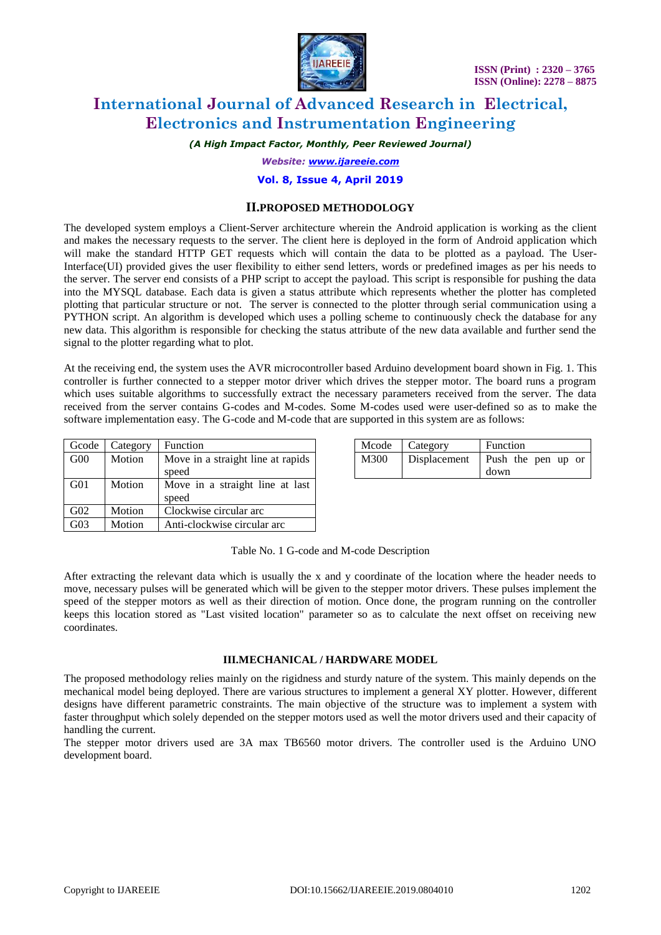

*(A High Impact Factor, Monthly, Peer Reviewed Journal)*

*Website: [www.ijareeie.com](http://www.ijareeie.com/)*

#### **Vol. 8, Issue 4, April 2019**

## **II.PROPOSED METHODOLOGY**

The developed system employs a Client-Server architecture wherein the Android application is working as the client and makes the necessary requests to the server. The client here is deployed in the form of Android application which will make the standard HTTP GET requests which will contain the data to be plotted as a payload. The User-Interface(UI) provided gives the user flexibility to either send letters, words or predefined images as per his needs to the server. The server end consists of a PHP script to accept the payload. This script is responsible for pushing the data into the MYSQL database. Each data is given a status attribute which represents whether the plotter has completed plotting that particular structure or not. The server is connected to the plotter through serial communication using a PYTHON script. An algorithm is developed which uses a polling scheme to continuously check the database for any new data. This algorithm is responsible for checking the status attribute of the new data available and further send the signal to the plotter regarding what to plot.

At the receiving end, the system uses the AVR microcontroller based Arduino development board shown in Fig. 1. This controller is further connected to a stepper motor driver which drives the stepper motor. The board runs a program which uses suitable algorithms to successfully extract the necessary parameters received from the server. The data received from the server contains G-codes and M-codes. Some M-codes used were user-defined so as to make the software implementation easy. The G-code and M-code that are supported in this system are as follows:

| Gcode           | Category | Function                          | Mcode | Category     | Function |
|-----------------|----------|-----------------------------------|-------|--------------|----------|
| G <sub>00</sub> | Motion   | Move in a straight line at rapids | M300  | Displacement | Push the |
|                 |          | speed                             |       |              | down     |
| G <sub>01</sub> | Motion   | Move in a straight line at last   |       |              |          |
|                 |          | speed                             |       |              |          |
| G <sub>02</sub> | Motion   | Clockwise circular arc            |       |              |          |
| G <sub>03</sub> | Motion   | Anti-clockwise circular arc       |       |              |          |

|      | Mcode   Category | Function                   |  |
|------|------------------|----------------------------|--|
| M300 | Displacement     | Push the pen up or<br>down |  |

Table No. 1 G-code and M-code Description

After extracting the relevant data which is usually the x and y coordinate of the location where the header needs to move, necessary pulses will be generated which will be given to the stepper motor drivers. These pulses implement the speed of the stepper motors as well as their direction of motion. Once done, the program running on the controller keeps this location stored as "Last visited location" parameter so as to calculate the next offset on receiving new coordinates.

#### **III.MECHANICAL / HARDWARE MODEL**

The proposed methodology relies mainly on the rigidness and sturdy nature of the system. This mainly depends on the mechanical model being deployed. There are various structures to implement a general XY plotter. However, different designs have different parametric constraints. The main objective of the structure was to implement a system with faster throughput which solely depended on the stepper motors used as well the motor drivers used and their capacity of handling the current.

The stepper motor drivers used are 3A max TB6560 motor drivers. The controller used is the Arduino UNO development board.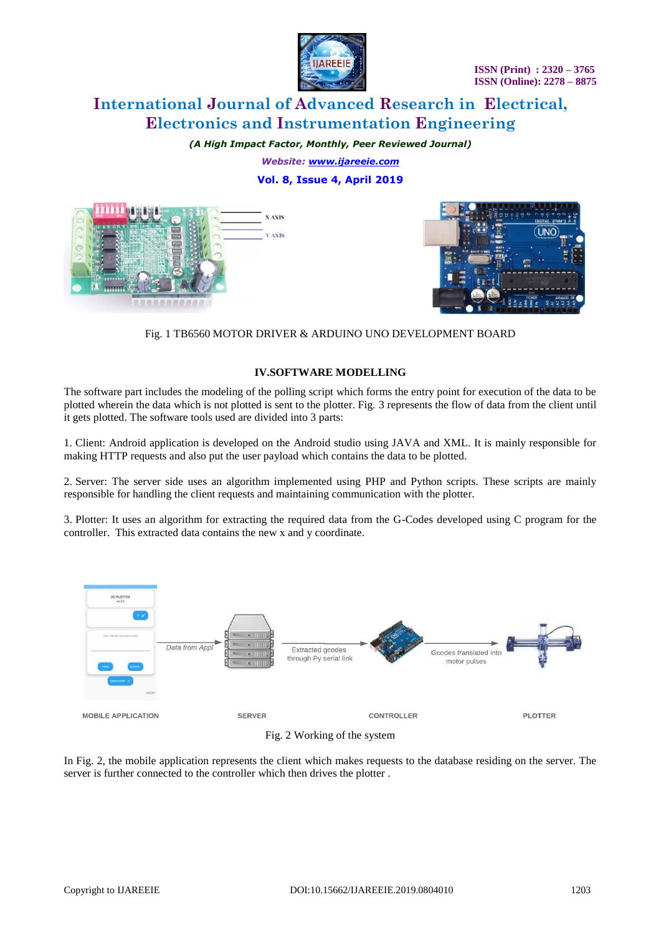

*(A High Impact Factor, Monthly, Peer Reviewed Journal) Website: [www.ijareeie.com](http://www.ijareeie.com/)*

**Vol. 8, Issue 4, April 2019**





Fig. 1 TB6560 MOTOR DRIVER & ARDUINO UNO DEVELOPMENT BOARD

#### **IV.SOFTWARE MODELLING**

The software part includes the modeling of the polling script which forms the entry point for execution of the data to be plotted wherein the data which is not plotted is sent to the plotter. Fig. 3 represents the flow of data from the client until it gets plotted. The software tools used are divided into 3 parts:

1. Client: Android application is developed on the Android studio using JAVA and XML. It is mainly responsible for making HTTP requests and also put the user payload which contains the data to be plotted.

2. Server: The server side uses an algorithm implemented using PHP and Python scripts. These scripts are mainly responsible for handling the client requests and maintaining communication with the plotter.

3. Plotter: It uses an algorithm for extracting the required data from the G-Codes developed using C program for the controller. This extracted data contains the new x and y coordinate.



Fig. 2 Working of the system

In Fig. 2, the mobile application represents the client which makes requests to the database residing on the server. The server is further connected to the controller which then drives the plotter .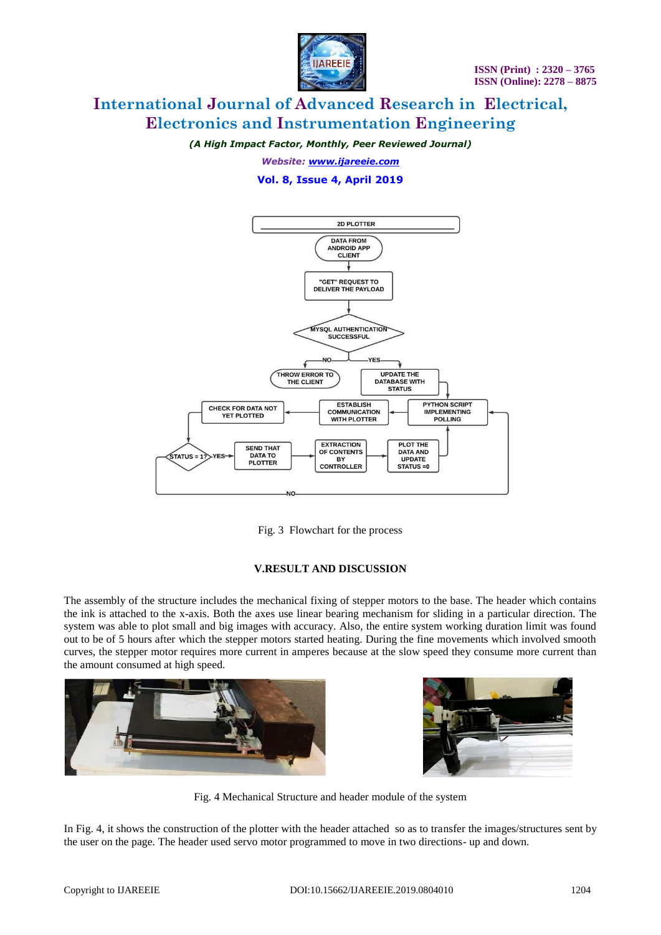

*(A High Impact Factor, Monthly, Peer Reviewed Journal)*

*Website: [www.ijareeie.com](http://www.ijareeie.com/)*

**Vol. 8, Issue 4, April 2019**



Fig. 3 Flowchart for the process

## **V.RESULT AND DISCUSSION**

The assembly of the structure includes the mechanical fixing of stepper motors to the base. The header which contains the ink is attached to the x-axis. Both the axes use linear bearing mechanism for sliding in a particular direction. The system was able to plot small and big images with accuracy. Also, the entire system working duration limit was found out to be of 5 hours after which the stepper motors started heating. During the fine movements which involved smooth curves, the stepper motor requires more current in amperes because at the slow speed they consume more current than the amount consumed at high speed.





Fig. 4 Mechanical Structure and header module of the system

In Fig. 4, it shows the construction of the plotter with the header attached so as to transfer the images/structures sent by the user on the page. The header used servo motor programmed to move in two directions- up and down.